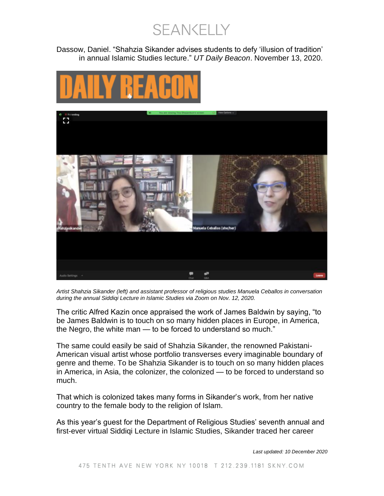SEANKELLY

Dassow, Daniel. "Shahzia Sikander advises students to defy 'illusion of tradition' in annual Islamic Studies lecture." *UT Daily Beacon*. November 13, 2020.





*Artist Shahzia Sikander (left) and assistant professor of religious studies Manuela Ceballos in conversation during the annual Siddiqi Lecture in Islamic Studies via Zoom on Nov. 12, 2020.*

The critic Alfred Kazin once appraised the work of James Baldwin by saying, "to be James Baldwin is to touch on so many hidden places in Europe, in America, the Negro, the white man — to be forced to understand so much."

The same could easily be said of Shahzia Sikander, the renowned Pakistani-American visual artist whose portfolio transverses every imaginable boundary of genre and theme. To be Shahzia Sikander is to touch on so many hidden places in America, in Asia, the colonizer, the colonized — to be forced to understand so much.

That which is colonized takes many forms in Sikander's work, from her native country to the female body to the religion of Islam.

As this year's guest for the Department of Religious Studies' seventh annual and first-ever virtual Siddiqi Lecture in Islamic Studies, Sikander traced her career

*Last updated: 10 December 2020*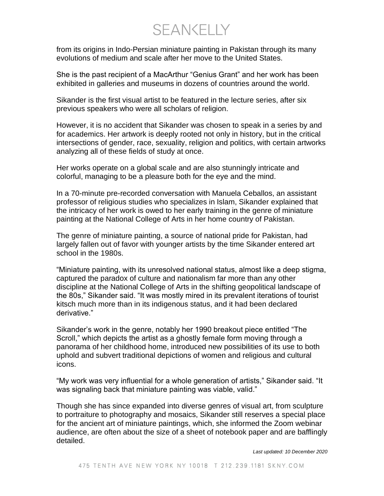**SFANKELLY** 

from its origins in Indo-Persian miniature painting in Pakistan through its many evolutions of medium and scale after her move to the United States.

She is the past recipient of a MacArthur "Genius Grant" and her work has been exhibited in galleries and museums in dozens of countries around the world.

Sikander is the first visual artist to be featured in the lecture series, after six previous speakers who were all scholars of religion.

However, it is no accident that Sikander was chosen to speak in a series by and for academics. Her artwork is deeply rooted not only in history, but in the critical intersections of gender, race, sexuality, religion and politics, with certain artworks analyzing all of these fields of study at once.

Her works operate on a global scale and are also stunningly intricate and colorful, managing to be a pleasure both for the eye and the mind.

In a 70-minute pre-recorded conversation with Manuela Ceballos, an assistant professor of religious studies who specializes in Islam, Sikander explained that the intricacy of her work is owed to her early training in the genre of miniature painting at the National College of Arts in her home country of Pakistan.

The genre of miniature painting, a source of national pride for Pakistan, had largely fallen out of favor with younger artists by the time Sikander entered art school in the 1980s.

"Miniature painting, with its unresolved national status, almost like a deep stigma, captured the paradox of culture and nationalism far more than any other discipline at the National College of Arts in the shifting geopolitical landscape of the 80s," Sikander said. "It was mostly mired in its prevalent iterations of tourist kitsch much more than in its indigenous status, and it had been declared derivative."

Sikander's work in the genre, notably her 1990 breakout piece entitled "The Scroll," which depicts the artist as a ghostly female form moving through a panorama of her childhood home, introduced new possibilities of its use to both uphold and subvert traditional depictions of women and religious and cultural icons.

"My work was very influential for a whole generation of artists," Sikander said. "It was signaling back that miniature painting was viable, valid."

Though she has since expanded into diverse genres of visual art, from sculpture to portraiture to photography and mosaics, Sikander still reserves a special place for the ancient art of miniature paintings, which, she informed the Zoom webinar audience, are often about the size of a sheet of notebook paper and are bafflingly detailed.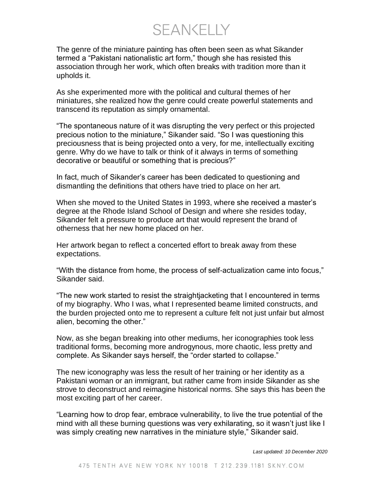SEANKELLY

The genre of the miniature painting has often been seen as what Sikander termed a "Pakistani nationalistic art form," though she has resisted this association through her work, which often breaks with tradition more than it upholds it.

As she experimented more with the political and cultural themes of her miniatures, she realized how the genre could create powerful statements and transcend its reputation as simply ornamental.

"The spontaneous nature of it was disrupting the very perfect or this projected precious notion to the miniature," Sikander said. "So I was questioning this preciousness that is being projected onto a very, for me, intellectually exciting genre. Why do we have to talk or think of it always in terms of something decorative or beautiful or something that is precious?"

In fact, much of Sikander's career has been dedicated to questioning and dismantling the definitions that others have tried to place on her art.

When she moved to the United States in 1993, where she received a master's degree at the Rhode Island School of Design and where she resides today, Sikander felt a pressure to produce art that would represent the brand of otherness that her new home placed on her.

Her artwork began to reflect a concerted effort to break away from these expectations.

"With the distance from home, the process of self-actualization came into focus," Sikander said.

"The new work started to resist the straightjacketing that I encountered in terms of my biography. Who I was, what I represented beame limited constructs, and the burden projected onto me to represent a culture felt not just unfair but almost alien, becoming the other."

Now, as she began breaking into other mediums, her iconographies took less traditional forms, becoming more androgynous, more chaotic, less pretty and complete. As Sikander says herself, the "order started to collapse."

The new iconography was less the result of her training or her identity as a Pakistani woman or an immigrant, but rather came from inside Sikander as she strove to deconstruct and reimagine historical norms. She says this has been the most exciting part of her career.

"Learning how to drop fear, embrace vulnerability, to live the true potential of the mind with all these burning questions was very exhilarating, so it wasn't just like I was simply creating new narratives in the miniature style," Sikander said.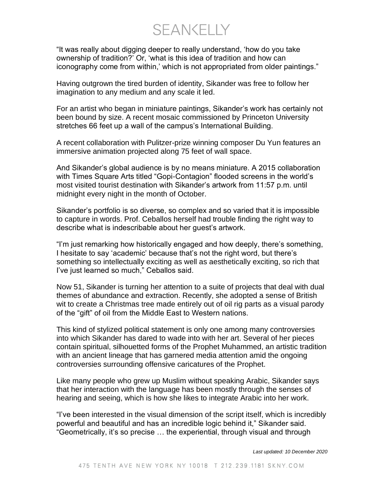**SEANKELLY** 

"It was really about digging deeper to really understand, 'how do you take ownership of tradition?' Or, 'what is this idea of tradition and how can iconography come from within,' which is not appropriated from older paintings."

Having outgrown the tired burden of identity, Sikander was free to follow her imagination to any medium and any scale it led.

For an artist who began in miniature paintings, Sikander's work has certainly not been bound by size. A recent mosaic commissioned by Princeton University stretches 66 feet up a wall of the campus's International Building.

A recent collaboration with Pulitzer-prize winning composer Du Yun features an immersive animation projected along 75 feet of wall space.

And Sikander's global audience is by no means miniature. A 2015 collaboration with Times Square Arts titled "Gopi-Contagion" flooded screens in the world's most visited tourist destination with Sikander's artwork from 11:57 p.m. until midnight every night in the month of October.

Sikander's portfolio is so diverse, so complex and so varied that it is impossible to capture in words. Prof. Ceballos herself had trouble finding the right way to describe what is indescribable about her guest's artwork.

"I'm just remarking how historically engaged and how deeply, there's something, I hesitate to say 'academic' because that's not the right word, but there's something so intellectually exciting as well as aesthetically exciting, so rich that I've just learned so much," Ceballos said.

Now 51, Sikander is turning her attention to a suite of projects that deal with dual themes of abundance and extraction. Recently, she adopted a sense of British wit to create a Christmas tree made entirely out of oil rig parts as a visual parody of the "gift" of oil from the Middle East to Western nations.

This kind of stylized political statement is only one among many controversies into which Sikander has dared to wade into with her art. Several of her pieces contain spiritual, silhouetted forms of the Prophet Muhammed, an artistic tradition with an ancient lineage that has garnered media attention amid the ongoing controversies surrounding offensive caricatures of the Prophet.

Like many people who grew up Muslim without speaking Arabic, Sikander says that her interaction with the language has been mostly through the senses of hearing and seeing, which is how she likes to integrate Arabic into her work.

"I've been interested in the visual dimension of the script itself, which is incredibly powerful and beautiful and has an incredible logic behind it," Sikander said. "Geometrically, it's so precise … the experiential, through visual and through

*Last updated: 10 December 2020*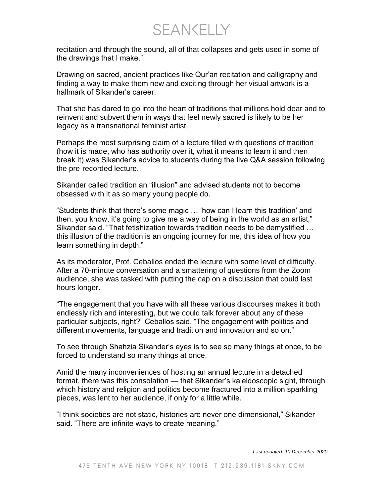SEANKELLY

recitation and through the sound, all of that collapses and gets used in some of the drawings that I make."

Drawing on sacred, ancient practices like Qur'an recitation and calligraphy and finding a way to make them new and exciting through her visual artwork is a hallmark of Sikander's career.

That she has dared to go into the heart of traditions that millions hold dear and to reinvent and subvert them in ways that feel newly sacred is likely to be her legacy as a transnational feminist artist.

Perhaps the most surprising claim of a lecture filled with questions of tradition (how it is made, who has authority over it, what it means to learn it and then break it) was Sikander's advice to students during the live Q&A session following the pre-recorded lecture.

Sikander called tradition an "illusion" and advised students not to become obsessed with it as so many young people do.

"Students think that there's some magic … 'how can I learn this tradition' and then, you know, it's going to give me a way of being in the world as an artist," Sikander said. "That fetishization towards tradition needs to be demystified … this illusion of the tradition is an ongoing journey for me, this idea of how you learn something in depth."

As its moderator, Prof. Ceballos ended the lecture with some level of difficulty. After a 70-minute conversation and a smattering of questions from the Zoom audience, she was tasked with putting the cap on a discussion that could last hours longer.

"The engagement that you have with all these various discourses makes it both endlessly rich and interesting, but we could talk forever about any of these particular subjects, right?" Ceballos said. "The engagement with politics and different movements, language and tradition and innovation and so on."

To see through Shahzia Sikander's eyes is to see so many things at once, to be forced to understand so many things at once.

Amid the many inconveniences of hosting an annual lecture in a detached format, there was this consolation — that Sikander's kaleidoscopic sight, through which history and religion and politics become fractured into a million sparkling pieces, was lent to her audience, if only for a little while.

"I think societies are not static, histories are never one dimensional," Sikander said. "There are infinite ways to create meaning."